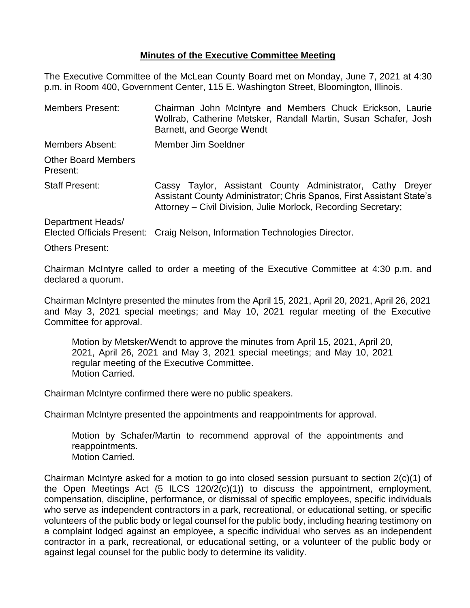## **Minutes of the Executive Committee Meeting**

The Executive Committee of the McLean County Board met on Monday, June 7, 2021 at 4:30 p.m. in Room 400, Government Center, 115 E. Washington Street, Bloomington, Illinois.

| <b>Members Present:</b>                | Chairman John McIntyre and Members Chuck Erickson, Laurie<br>Wollrab, Catherine Metsker, Randall Martin, Susan Schafer, Josh<br>Barnett, and George Wendt                                             |  |  |
|----------------------------------------|-------------------------------------------------------------------------------------------------------------------------------------------------------------------------------------------------------|--|--|
| Members Absent:                        | Member Jim Soeldner                                                                                                                                                                                   |  |  |
| <b>Other Board Members</b><br>Present: |                                                                                                                                                                                                       |  |  |
| <b>Staff Present:</b>                  | Cassy Taylor, Assistant County Administrator, Cathy Dreyer<br>Assistant County Administrator; Chris Spanos, First Assistant State's<br>Attorney – Civil Division, Julie Morlock, Recording Secretary; |  |  |
| Department Heads/                      | Elected Officials Present: Craig Nelson, Information Technologies Director.                                                                                                                           |  |  |

Others Present:

Chairman McIntyre called to order a meeting of the Executive Committee at 4:30 p.m. and declared a quorum.

Chairman McIntyre presented the minutes from the April 15, 2021, April 20, 2021, April 26, 2021 and May 3, 2021 special meetings; and May 10, 2021 regular meeting of the Executive Committee for approval.

Motion by Metsker/Wendt to approve the minutes from April 15, 2021, April 20, 2021, April 26, 2021 and May 3, 2021 special meetings; and May 10, 2021 regular meeting of the Executive Committee. Motion Carried.

Chairman McIntyre confirmed there were no public speakers.

Chairman McIntyre presented the appointments and reappointments for approval.

Motion by Schafer/Martin to recommend approval of the appointments and reappointments. Motion Carried.

Chairman McIntyre asked for a motion to go into closed session pursuant to section 2(c)(1) of the Open Meetings Act (5 ILCS 120/2(c)(1)) to discuss the appointment, employment, compensation, discipline, performance, or dismissal of specific employees, specific individuals who serve as independent contractors in a park, recreational, or educational setting, or specific volunteers of the public body or legal counsel for the public body, including hearing testimony on a complaint lodged against an employee, a specific individual who serves as an independent contractor in a park, recreational, or educational setting, or a volunteer of the public body or against legal counsel for the public body to determine its validity.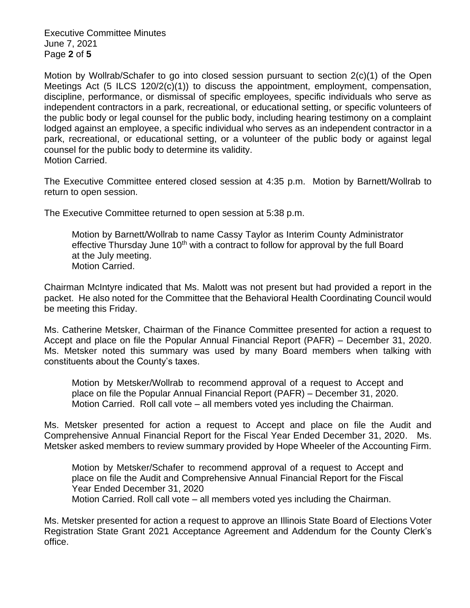Executive Committee Minutes June 7, 2021 Page **2** of **5**

Motion by Wollrab/Schafer to go into closed session pursuant to section 2(c)(1) of the Open Meetings Act  $(5 \text{ ILCS } 120/2(c)(1))$  to discuss the appointment, employment, compensation, discipline, performance, or dismissal of specific employees, specific individuals who serve as independent contractors in a park, recreational, or educational setting, or specific volunteers of the public body or legal counsel for the public body, including hearing testimony on a complaint lodged against an employee, a specific individual who serves as an independent contractor in a park, recreational, or educational setting, or a volunteer of the public body or against legal counsel for the public body to determine its validity. Motion Carried.

The Executive Committee entered closed session at 4:35 p.m. Motion by Barnett/Wollrab to return to open session.

The Executive Committee returned to open session at 5:38 p.m.

Motion by Barnett/Wollrab to name Cassy Taylor as Interim County Administrator effective Thursday June  $10<sup>th</sup>$  with a contract to follow for approval by the full Board at the July meeting. Motion Carried.

Chairman McIntyre indicated that Ms. Malott was not present but had provided a report in the packet. He also noted for the Committee that the Behavioral Health Coordinating Council would be meeting this Friday.

Ms. Catherine Metsker, Chairman of the Finance Committee presented for action a request to Accept and place on file the Popular Annual Financial Report (PAFR) – December 31, 2020. Ms. Metsker noted this summary was used by many Board members when talking with constituents about the County's taxes.

Motion by Metsker/Wollrab to recommend approval of a request to Accept and place on file the Popular Annual Financial Report (PAFR) – December 31, 2020. Motion Carried. Roll call vote – all members voted yes including the Chairman.

Ms. Metsker presented for action a request to Accept and place on file the Audit and Comprehensive Annual Financial Report for the Fiscal Year Ended December 31, 2020. Ms. Metsker asked members to review summary provided by Hope Wheeler of the Accounting Firm.

Motion by Metsker/Schafer to recommend approval of a request to Accept and place on file the Audit and Comprehensive Annual Financial Report for the Fiscal Year Ended December 31, 2020 Motion Carried. Roll call vote – all members voted yes including the Chairman.

Ms. Metsker presented for action a request to approve an Illinois State Board of Elections Voter Registration State Grant 2021 Acceptance Agreement and Addendum for the County Clerk's office.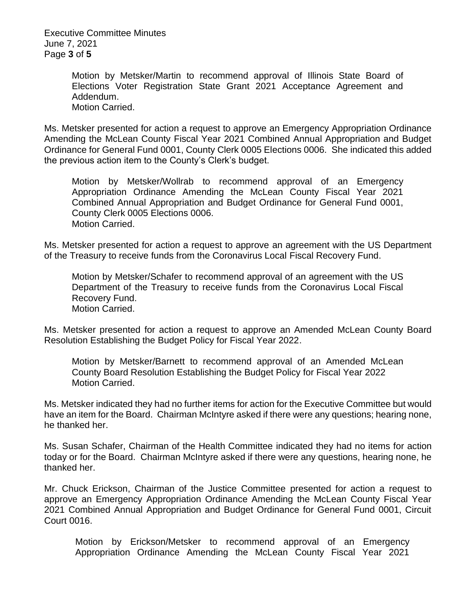Executive Committee Minutes June 7, 2021 Page **3** of **5**

> Motion by Metsker/Martin to recommend approval of Illinois State Board of Elections Voter Registration State Grant 2021 Acceptance Agreement and Addendum. Motion Carried.

Ms. Metsker presented for action a request to approve an Emergency Appropriation Ordinance Amending the McLean County Fiscal Year 2021 Combined Annual Appropriation and Budget Ordinance for General Fund 0001, County Clerk 0005 Elections 0006. She indicated this added the previous action item to the County's Clerk's budget.

Motion by Metsker/Wollrab to recommend approval of an Emergency Appropriation Ordinance Amending the McLean County Fiscal Year 2021 Combined Annual Appropriation and Budget Ordinance for General Fund 0001, County Clerk 0005 Elections 0006. Motion Carried.

Ms. Metsker presented for action a request to approve an agreement with the US Department of the Treasury to receive funds from the Coronavirus Local Fiscal Recovery Fund.

Motion by Metsker/Schafer to recommend approval of an agreement with the US Department of the Treasury to receive funds from the Coronavirus Local Fiscal Recovery Fund. Motion Carried.

Ms. Metsker presented for action a request to approve an Amended McLean County Board Resolution Establishing the Budget Policy for Fiscal Year 2022.

Motion by Metsker/Barnett to recommend approval of an Amended McLean County Board Resolution Establishing the Budget Policy for Fiscal Year 2022 Motion Carried.

Ms. Metsker indicated they had no further items for action for the Executive Committee but would have an item for the Board. Chairman McIntyre asked if there were any questions; hearing none, he thanked her.

Ms. Susan Schafer, Chairman of the Health Committee indicated they had no items for action today or for the Board. Chairman McIntyre asked if there were any questions, hearing none, he thanked her.

Mr. Chuck Erickson, Chairman of the Justice Committee presented for action a request to approve an Emergency Appropriation Ordinance Amending the McLean County Fiscal Year 2021 Combined Annual Appropriation and Budget Ordinance for General Fund 0001, Circuit Court 0016.

Motion by Erickson/Metsker to recommend approval of an Emergency Appropriation Ordinance Amending the McLean County Fiscal Year 2021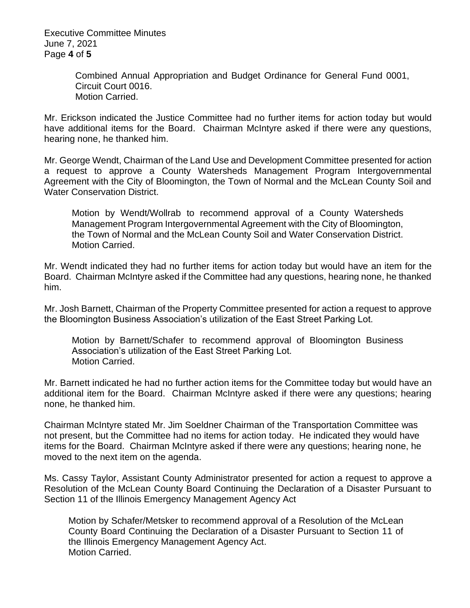Executive Committee Minutes June 7, 2021 Page **4** of **5**

> Combined Annual Appropriation and Budget Ordinance for General Fund 0001, Circuit Court 0016. Motion Carried.

Mr. Erickson indicated the Justice Committee had no further items for action today but would have additional items for the Board. Chairman McIntyre asked if there were any questions, hearing none, he thanked him.

Mr. George Wendt, Chairman of the Land Use and Development Committee presented for action a request to approve a County Watersheds Management Program Intergovernmental Agreement with the City of Bloomington, the Town of Normal and the McLean County Soil and Water Conservation District.

Motion by Wendt/Wollrab to recommend approval of a County Watersheds Management Program Intergovernmental Agreement with the City of Bloomington, the Town of Normal and the McLean County Soil and Water Conservation District. Motion Carried.

Mr. Wendt indicated they had no further items for action today but would have an item for the Board. Chairman McIntyre asked if the Committee had any questions, hearing none, he thanked him.

Mr. Josh Barnett, Chairman of the Property Committee presented for action a request to approve the Bloomington Business Association's utilization of the East Street Parking Lot.

Motion by Barnett/Schafer to recommend approval of Bloomington Business Association's utilization of the East Street Parking Lot. Motion Carried.

Mr. Barnett indicated he had no further action items for the Committee today but would have an additional item for the Board. Chairman McIntyre asked if there were any questions; hearing none, he thanked him.

Chairman McIntyre stated Mr. Jim Soeldner Chairman of the Transportation Committee was not present, but the Committee had no items for action today. He indicated they would have items for the Board. Chairman McIntyre asked if there were any questions; hearing none, he moved to the next item on the agenda.

Ms. Cassy Taylor, Assistant County Administrator presented for action a request to approve a Resolution of the McLean County Board Continuing the Declaration of a Disaster Pursuant to Section 11 of the Illinois Emergency Management Agency Act

Motion by Schafer/Metsker to recommend approval of a Resolution of the McLean County Board Continuing the Declaration of a Disaster Pursuant to Section 11 of the Illinois Emergency Management Agency Act. Motion Carried.